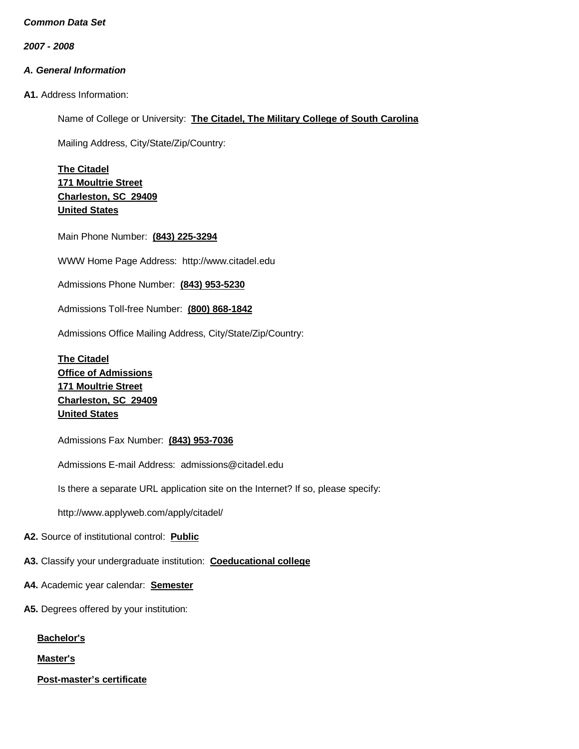*2007 - 2008*

# *A. General Information*

**A1.** Address Information:

Name of College or University: **The Citadel, The Military College of South Carolina**

Mailing Address, City/State/Zip/Country:

**The Citadel 171 Moultrie Street Charleston, SC 29409 United States**

Main Phone Number: **(843) 225-3294**

WWW Home Page Address: [http://www.citadel.edu](http://www.citadel.edu/)

Admissions Phone Number: **(843) 953-5230**

Admissions Toll-free Number: **(800) 868-1842**

Admissions Office Mailing Address, City/State/Zip/Country:

**The Citadel Office of Admissions 171 Moultrie Street Charleston, SC 29409 United States**

Admissions Fax Number: **(843) 953-7036**

Admissions E-mail Address: [admissions@citadel.edu](mailto:admissions@citadel.edu)

Is there a separate URL application site on the Internet? If so, please specify:

[http://www.applyweb.com/apply/citadel/](http://www.citadel.edu/admission/cadmission/cadapplication.html)

**A2.** Source of institutional control: **Public**

**A3.** Classify your undergraduate institution: **Coeducational college**

- **A4.** Academic year calendar: **Semester**
- **A5.** Degrees offered by your institution:

**Bachelor's**

**Master's**

**Post-master's certificate**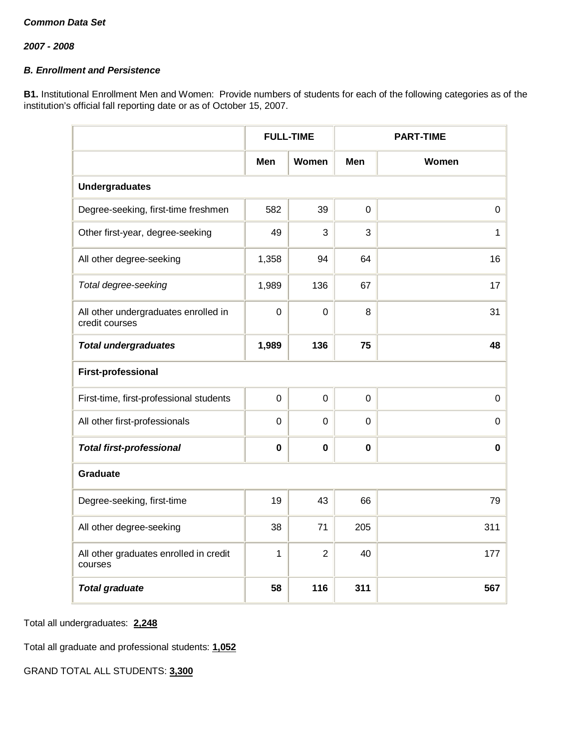# *B. Enrollment and Persistence*

**B1.** Institutional Enrollment Men and Women: Provide numbers of students for each of the following categories as of the institution's official fall reporting date or as of October 15, 2007.

|                                                        |             | <b>FULL-TIME</b> |             | <b>PART-TIME</b> |
|--------------------------------------------------------|-------------|------------------|-------------|------------------|
|                                                        | Men         | Women            | Men         | Women            |
| <b>Undergraduates</b>                                  |             |                  |             |                  |
| Degree-seeking, first-time freshmen                    | 582         | 39               | 0           | 0                |
| Other first-year, degree-seeking                       | 49          | 3                | 3           | $\mathbf{1}$     |
| All other degree-seeking                               | 1,358       | 94               | 64          | 16               |
| Total degree-seeking                                   | 1,989       | 136              | 67          | 17               |
| All other undergraduates enrolled in<br>credit courses | $\mathbf 0$ | $\mathbf 0$      | 8           | 31               |
| <b>Total undergraduates</b>                            | 1,989       | 136              | 75          | 48               |
| <b>First-professional</b>                              |             |                  |             |                  |
| First-time, first-professional students                | $\mathbf 0$ | $\mathbf 0$      | $\mathbf 0$ | $\mathsf 0$      |
| All other first-professionals                          | $\mathbf 0$ | $\mathbf 0$      | 0           | 0                |
| <b>Total first-professional</b>                        | $\mathbf 0$ | $\mathbf 0$      | 0           | $\pmb{0}$        |
| <b>Graduate</b>                                        |             |                  |             |                  |
| Degree-seeking, first-time                             | 19          | 43               | 66          | 79               |
| All other degree-seeking                               | 38          | 71               | 205         | 311              |
| All other graduates enrolled in credit<br>courses      | 1           | $\overline{2}$   | 40          | 177              |
| <b>Total graduate</b>                                  | 58          | 116              | 311         | 567              |

Total all undergraduates: **2,248**

Total all graduate and professional students: **1,052**

GRAND TOTAL ALL STUDENTS: **3,300**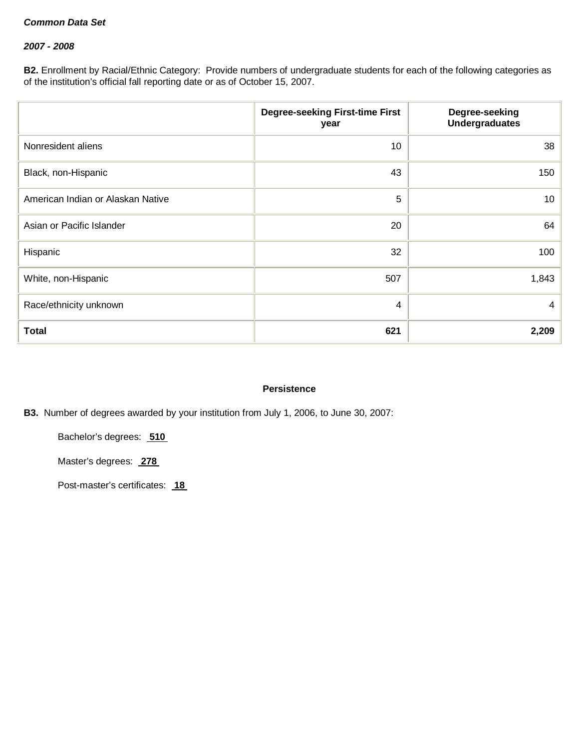# *2007 - 2008*

**B2.** Enrollment by Racial/Ethnic Category: Provide numbers of undergraduate students for each of the following categories as of the institution's official fall reporting date or as of October 15, 2007.

|                                   | <b>Degree-seeking First-time First</b><br>year | Degree-seeking<br><b>Undergraduates</b> |
|-----------------------------------|------------------------------------------------|-----------------------------------------|
| Nonresident aliens                | 10                                             | 38                                      |
| Black, non-Hispanic               | 43                                             | 150                                     |
| American Indian or Alaskan Native | 5                                              | 10 <sup>1</sup>                         |
| Asian or Pacific Islander         | 20                                             | 64                                      |
| Hispanic                          | 32                                             | 100                                     |
| White, non-Hispanic               | 507                                            | 1,843                                   |
| Race/ethnicity unknown            | 4                                              | 4                                       |
| <b>Total</b>                      | 621                                            | 2,209                                   |

### **Persistence**

**B3.** Number of degrees awarded by your institution from July 1, 2006, to June 30, 2007:

Bachelor's degrees: **510**

Master's degrees: **278**

Post-master's certificates: **18**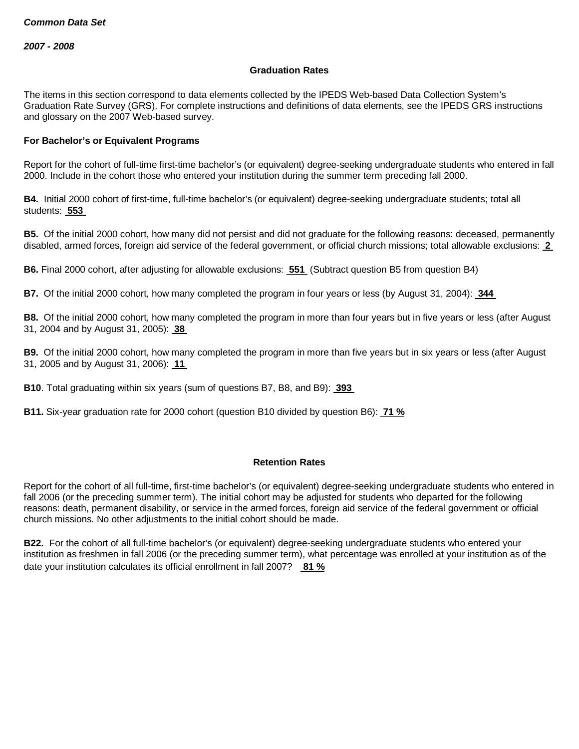#### **Graduation Rates**

The items in this section correspond to data elements collected by the IPEDS Web-based Data Collection System's Graduation Rate Survey (GRS). For complete instructions and definitions of data elements, see the IPEDS GRS instructions and glossary on the 2007 Web-based survey.

## **For Bachelor's or Equivalent Programs**

Report for the cohort of full-time first-time bachelor's (or equivalent) degree-seeking undergraduate students who entered in fall 2000. Include in the cohort those who entered your institution during the summer term preceding fall 2000.

**B4.** Initial 2000 cohort of first-time, full-time bachelor's (or equivalent) degree-seeking undergraduate students; total all students: **553**

**B5.** Of the initial 2000 cohort, how many did not persist and did not graduate for the following reasons: deceased, permanently disabled, armed forces, foreign aid service of the federal government, or official church missions; total allowable exclusions: **2**

**B6.** Final 2000 cohort, after adjusting for allowable exclusions: **551** (Subtract question B5 from question B4)

**B7.** Of the initial 2000 cohort, how many completed the program in four years or less (by August 31, 2004): **344**

**B8.** Of the initial 2000 cohort, how many completed the program in more than four years but in five years or less (after August 31, 2004 and by August 31, 2005): **38**

**B9.** Of the initial 2000 cohort, how many completed the program in more than five years but in six years or less (after August 31, 2005 and by August 31, 2006): **11**

**B10**. Total graduating within six years (sum of questions B7, B8, and B9): **393**

**B11.** Six-year graduation rate for 2000 cohort (question B10 divided by question B6): **71 %**

#### **Retention Rates**

Report for the cohort of all full-time, first-time bachelor's (or equivalent) degree-seeking undergraduate students who entered in fall 2006 (or the preceding summer term). The initial cohort may be adjusted for students who departed for the following reasons: death, permanent disability, or service in the armed forces, foreign aid service of the federal government or official church missions. No other adjustments to the initial cohort should be made.

**B22.** For the cohort of all full-time bachelor's (or equivalent) degree-seeking undergraduate students who entered your institution as freshmen in fall 2006 (or the preceding summer term), what percentage was enrolled at your institution as of the date your institution calculates its official enrollment in fall 2007? **81 %**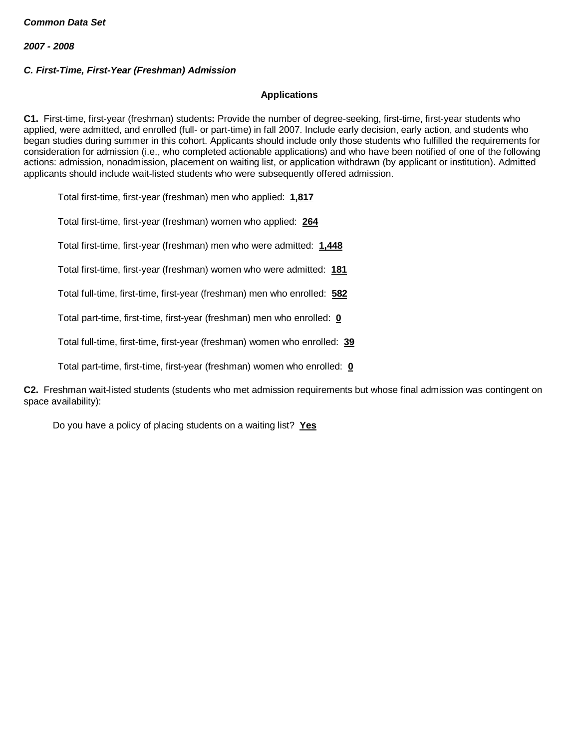# *C. First-Time, First-Year (Freshman) Admission*

### **Applications**

**C1.** First-time, first-year (freshman) students**:** Provide the number of degree-seeking, first-time, first-year students who applied, were admitted, and enrolled (full- or part-time) in fall 2007. Include early decision, early action, and students who began studies during summer in this cohort. Applicants should include only those students who fulfilled the requirements for consideration for admission (i.e., who completed actionable applications) and who have been notified of one of the following actions: admission, nonadmission, placement on waiting list, or application withdrawn (by applicant or institution). Admitted applicants should include wait-listed students who were subsequently offered admission.

Total first-time, first-year (freshman) men who applied: **1,817**

Total first-time, first-year (freshman) women who applied: **264**

Total first-time, first-year (freshman) men who were admitted: **1,448**

Total first-time, first-year (freshman) women who were admitted: **181**

Total full-time, first-time, first-year (freshman) men who enrolled: **582**

Total part-time, first-time, first-year (freshman) men who enrolled: **0**

Total full-time, first-time, first-year (freshman) women who enrolled: **39**

Total part-time, first-time, first-year (freshman) women who enrolled: **0**

**C2.** Freshman wait-listed students (students who met admission requirements but whose final admission was contingent on space availability):

Do you have a policy of placing students on a waiting list? **Yes**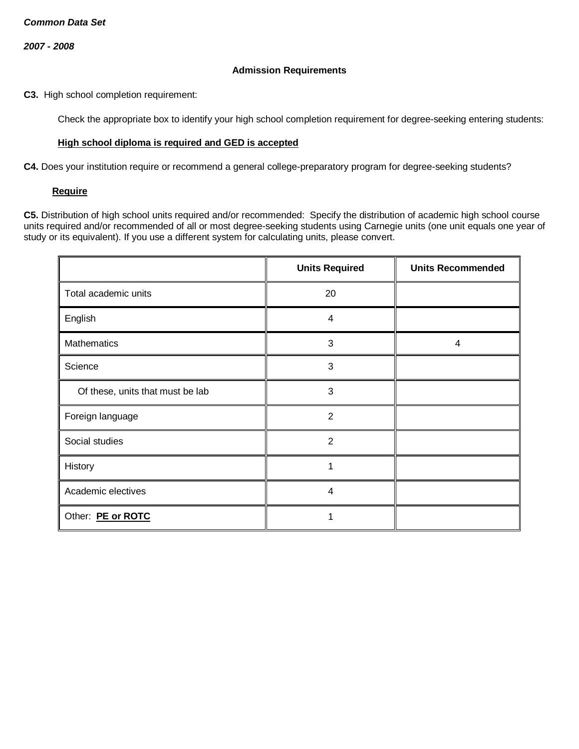## **Admission Requirements**

**C3.** High school completion requirement:

Check the appropriate box to identify your high school completion requirement for degree-seeking entering students:

## **High school diploma is required and GED is accepted**

**C4.** Does your institution require or recommend a general college-preparatory program for degree-seeking students?

### **Require**

**C5.** Distribution of high school units required and/or recommended: Specify the distribution of academic high school course units required and/or recommended of all or most degree-seeking students using Carnegie units (one unit equals one year of study or its equivalent). If you use a different system for calculating units, please convert.

|                                  | <b>Units Required</b> | <b>Units Recommended</b> |
|----------------------------------|-----------------------|--------------------------|
| Total academic units             | 20                    |                          |
| English                          | 4                     |                          |
| Mathematics                      | 3                     | 4                        |
| Science                          | 3                     |                          |
| Of these, units that must be lab | 3                     |                          |
| Foreign language                 | $\overline{2}$        |                          |
| Social studies                   | $\overline{2}$        |                          |
| History                          |                       |                          |
| Academic electives               | $\overline{4}$        |                          |
| Other: PE or ROTC                |                       |                          |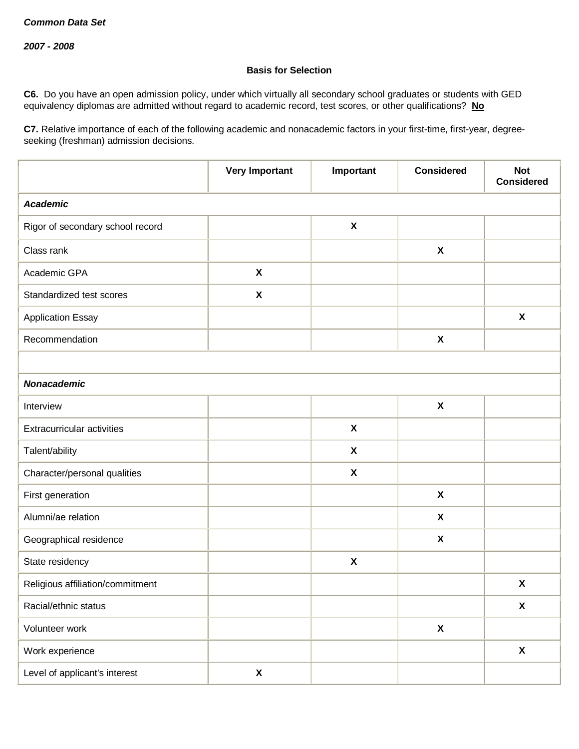# **Basis for Selection**

**C6.** Do you have an open admission policy, under which virtually all secondary school graduates or students with GED equivalency diplomas are admitted without regard to academic record, test scores, or other qualifications? **No**

**C7.** Relative importance of each of the following academic and nonacademic factors in your first-time, first-year, degreeseeking (freshman) admission decisions.

|                                   | <b>Very Important</b>     | Important                 | <b>Considered</b>         | <b>Not</b><br><b>Considered</b> |  |
|-----------------------------------|---------------------------|---------------------------|---------------------------|---------------------------------|--|
| <b>Academic</b>                   |                           |                           |                           |                                 |  |
| Rigor of secondary school record  |                           | $\pmb{\mathsf{X}}$        |                           |                                 |  |
| Class rank                        |                           |                           | $\boldsymbol{\mathsf{X}}$ |                                 |  |
| Academic GPA                      | $\boldsymbol{\mathsf{X}}$ |                           |                           |                                 |  |
| Standardized test scores          | $\boldsymbol{\mathsf{X}}$ |                           |                           |                                 |  |
| <b>Application Essay</b>          |                           |                           |                           | $\boldsymbol{\mathsf{X}}$       |  |
| Recommendation                    |                           |                           | $\pmb{\chi}$              |                                 |  |
|                                   |                           |                           |                           |                                 |  |
| <b>Nonacademic</b>                |                           |                           |                           |                                 |  |
| Interview                         |                           |                           | $\pmb{\chi}$              |                                 |  |
| <b>Extracurricular activities</b> |                           | $\pmb{\mathsf{X}}$        |                           |                                 |  |
| Talent/ability                    |                           | $\pmb{\mathsf{X}}$        |                           |                                 |  |
| Character/personal qualities      |                           | $\boldsymbol{\mathsf{X}}$ |                           |                                 |  |
| First generation                  |                           |                           | $\boldsymbol{\mathsf{X}}$ |                                 |  |
| Alumni/ae relation                |                           |                           | $\boldsymbol{\mathsf{X}}$ |                                 |  |
| Geographical residence            |                           |                           | $\boldsymbol{\mathsf{X}}$ |                                 |  |
| State residency                   |                           | $\pmb{\chi}$              |                           |                                 |  |
| Religious affiliation/commitment  |                           |                           |                           | $\pmb{\mathsf{X}}$              |  |
| Racial/ethnic status              |                           |                           |                           | $\pmb{\mathsf{X}}$              |  |
| Volunteer work                    |                           |                           | $\pmb{\mathsf{X}}$        |                                 |  |
| Work experience                   |                           |                           |                           | $\boldsymbol{\mathsf{X}}$       |  |
| Level of applicant's interest     | X                         |                           |                           |                                 |  |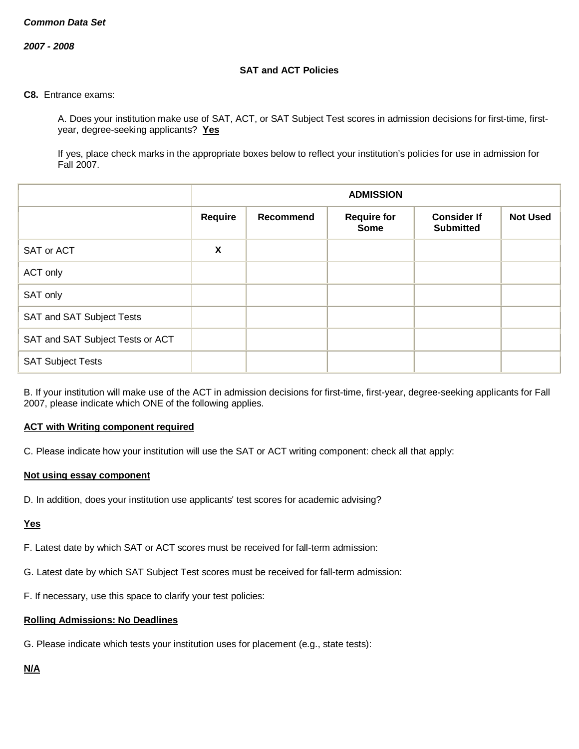*2007 - 2008*

# **SAT and ACT Policies**

**C8.** Entrance exams:

A. Does your institution make use of SAT, ACT, or SAT Subject Test scores in admission decisions for first-time, firstyear, degree-seeking applicants? **Yes**

If yes, place check marks in the appropriate boxes below to reflect your institution's policies for use in admission for Fall 2007.

|                                  |                           | <b>ADMISSION</b>                                                                                            |  |  |  |  |  |
|----------------------------------|---------------------------|-------------------------------------------------------------------------------------------------------------|--|--|--|--|--|
|                                  | Require                   | <b>Not Used</b><br>Recommend<br><b>Consider If</b><br><b>Require for</b><br><b>Submitted</b><br><b>Some</b> |  |  |  |  |  |
| SAT or ACT                       | $\boldsymbol{\mathsf{X}}$ |                                                                                                             |  |  |  |  |  |
| ACT only                         |                           |                                                                                                             |  |  |  |  |  |
| SAT only                         |                           |                                                                                                             |  |  |  |  |  |
| SAT and SAT Subject Tests        |                           |                                                                                                             |  |  |  |  |  |
| SAT and SAT Subject Tests or ACT |                           |                                                                                                             |  |  |  |  |  |
| <b>SAT Subject Tests</b>         |                           |                                                                                                             |  |  |  |  |  |

B. If your institution will make use of the ACT in admission decisions for first-time, first-year, degree-seeking applicants for Fall 2007, please indicate which ONE of the following applies.

# **ACT with Writing component required**

C. Please indicate how your institution will use the SAT or ACT writing component: check all that apply:

#### **Not using essay component**

D. In addition, does your institution use applicants' test scores for academic advising?

**Yes**

F. Latest date by which SAT or ACT scores must be received for fall-term admission:

G. Latest date by which SAT Subject Test scores must be received for fall-term admission:

F. If necessary, use this space to clarify your test policies:

#### **Rolling Admissions: No Deadlines**

G. Please indicate which tests your institution uses for placement (e.g., state tests):

# **N/A**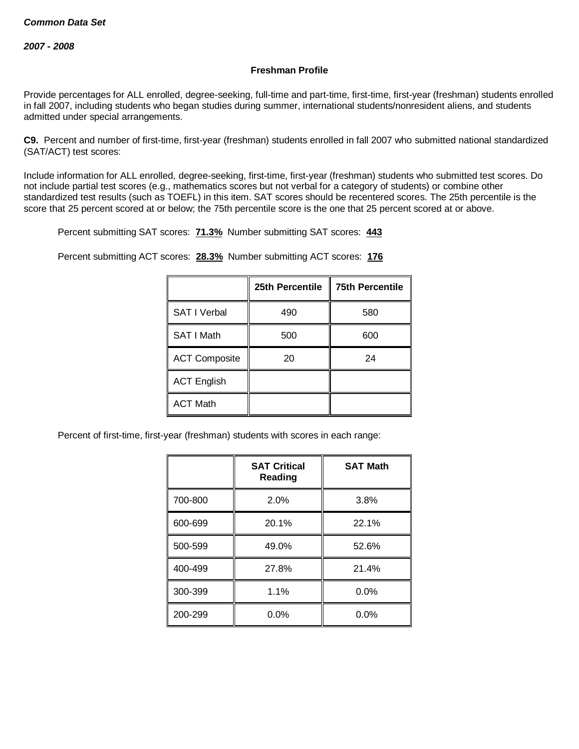## **Freshman Profile**

Provide percentages for ALL enrolled, degree-seeking, full-time and part-time, first-time, first-year (freshman) students enrolled in fall 2007, including students who began studies during summer, international students/nonresident aliens, and students admitted under special arrangements.

**C9.** Percent and number of first-time, first-year (freshman) students enrolled in fall 2007 who submitted national standardized (SAT/ACT) test scores:

Include information for ALL enrolled, degree-seeking, first-time, first-year (freshman) students who submitted test scores. Do not include partial test scores (e.g., mathematics scores but not verbal for a category of students) or combine other standardized test results (such as TOEFL) in this item. SAT scores should be recentered scores. The 25th percentile is the score that 25 percent scored at or below; the 75th percentile score is the one that 25 percent scored at or above.

Percent submitting SAT scores: **71.3%** Number submitting SAT scores: **443**

Percent submitting ACT scores: **28.3%** Number submitting ACT scores: **176**

|                      | 25th Percentile | <b>75th Percentile</b> |
|----------------------|-----------------|------------------------|
| <b>SAT I Verbal</b>  | 490             | 580                    |
| SAT I Math           | 500             | 600                    |
| <b>ACT Composite</b> | 20              | 24                     |
| <b>ACT English</b>   |                 |                        |
| <b>ACT Math</b>      |                 |                        |

Percent of first-time, first-year (freshman) students with scores in each range:

|         | <b>SAT Critical</b><br>Reading | <b>SAT Math</b> |  |
|---------|--------------------------------|-----------------|--|
| 700-800 | 2.0%                           | 3.8%            |  |
| 600-699 | 20.1%                          | 22.1%           |  |
| 500-599 | 49.0%                          | 52.6%           |  |
| 400-499 | 27.8%                          | 21.4%           |  |
| 300-399 | 1.1%                           | 0.0%            |  |
| 200-299 | 0.0%                           | 0.0%            |  |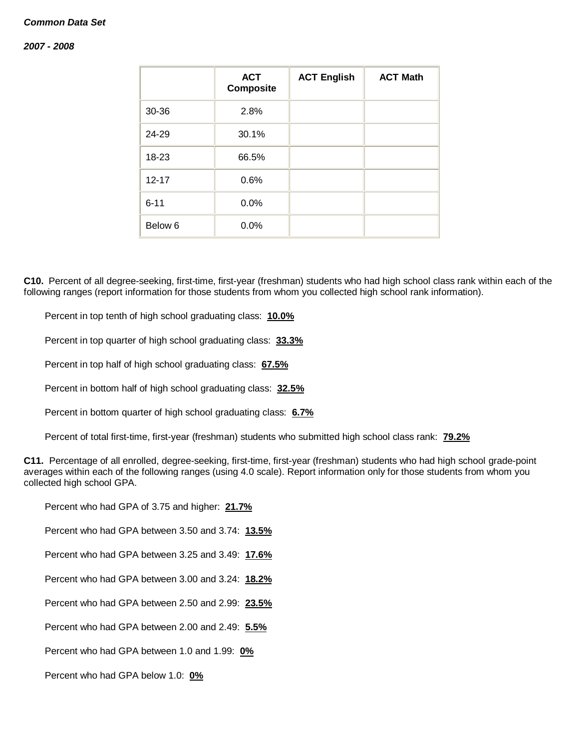#### *2007 - 2008*

|           | <b>ACT</b><br><b>Composite</b> | <b>ACT English</b> | <b>ACT Math</b> |
|-----------|--------------------------------|--------------------|-----------------|
| 30-36     | 2.8%                           |                    |                 |
| 24-29     | 30.1%                          |                    |                 |
| 18-23     | 66.5%                          |                    |                 |
| $12 - 17$ | 0.6%                           |                    |                 |
| $6 - 11$  | 0.0%                           |                    |                 |
| Below 6   | 0.0%                           |                    |                 |

**C10.** Percent of all degree-seeking, first-time, first-year (freshman) students who had high school class rank within each of the following ranges (report information for those students from whom you collected high school rank information).

Percent in top tenth of high school graduating class: **10.0%**

Percent in top quarter of high school graduating class: **33.3%**

Percent in top half of high school graduating class: **67.5%**

Percent in bottom half of high school graduating class: **32.5%**

Percent in bottom quarter of high school graduating class: **6.7%**

Percent of total first-time, first-year (freshman) students who submitted high school class rank: **79.2%**

**C11.** Percentage of all enrolled, degree-seeking, first-time, first-year (freshman) students who had high school grade-point averages within each of the following ranges (using 4.0 scale). Report information only for those students from whom you collected high school GPA.

Percent who had GPA of 3.75 and higher: **21.7%**

Percent who had GPA between 3.50 and 3.74: **13.5%**

Percent who had GPA between 3.25 and 3.49: **17.6%**

Percent who had GPA between 3.00 and 3.24: **18.2%**

Percent who had GPA between 2.50 and 2.99: **23.5%**

Percent who had GPA between 2.00 and 2.49: **5.5%**

Percent who had GPA between 1.0 and 1.99: **0%**

Percent who had GPA below 1.0: **0%**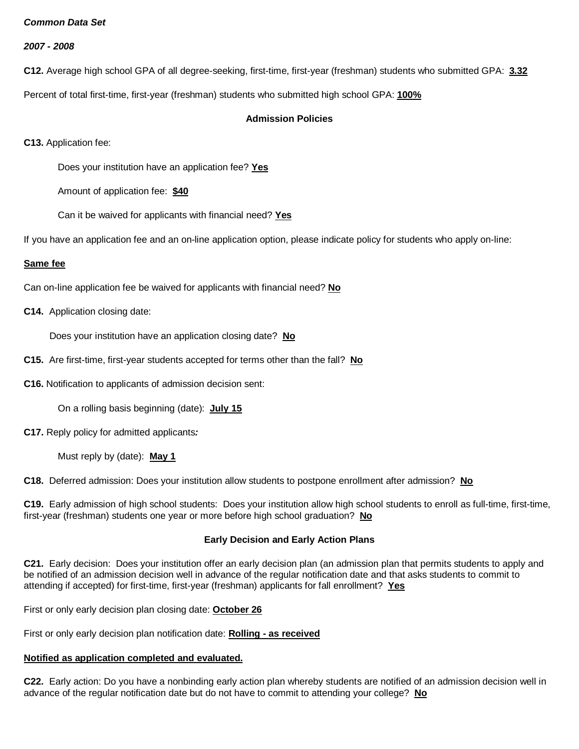*2007 - 2008*

**C12.** Average high school GPA of all degree-seeking, first-time, first-year (freshman) students who submitted GPA: **3.32**

Percent of total first-time, first-year (freshman) students who submitted high school GPA: **100%**

# **Admission Policies**

**C13.** Application fee:

Does your institution have an application fee? **Yes**

Amount of application fee: **\$40**

Can it be waived for applicants with financial need? **Yes**

If you have an application fee and an on-line application option, please indicate policy for students who apply on-line:

# **Same fee**

Can on-line application fee be waived for applicants with financial need? **No**

**C14.** Application closing date:

Does your institution have an application closing date? **No**

- **C15.** Are first-time, first-year students accepted for terms other than the fall? **No**
- **C16.** Notification to applicants of admission decision sent:

On a rolling basis beginning (date): **July 15**

**C17.** Reply policy for admitted applicants*:*

Must reply by (date): **May 1**

**C18.** Deferred admission: Does your institution allow students to postpone enrollment after admission? **No**

**C19.** Early admission of high school students: Does your institution allow high school students to enroll as full-time, first-time, first-year (freshman) students one year or more before high school graduation? **No**

# **Early Decision and Early Action Plans**

**C21.** Early decision: Does your institution offer an early decision plan (an admission plan that permits students to apply and be notified of an admission decision well in advance of the regular notification date and that asks students to commit to attending if accepted) for first-time, first-year (freshman) applicants for fall enrollment? **Yes**

First or only early decision plan closing date: **October 26**

First or only early decision plan notification date: **Rolling - as received**

# **Notified as application completed and evaluated.**

**C22.** Early action: Do you have a nonbinding early action plan whereby students are notified of an admission decision well in advance of the regular notification date but do not have to commit to attending your college? **No**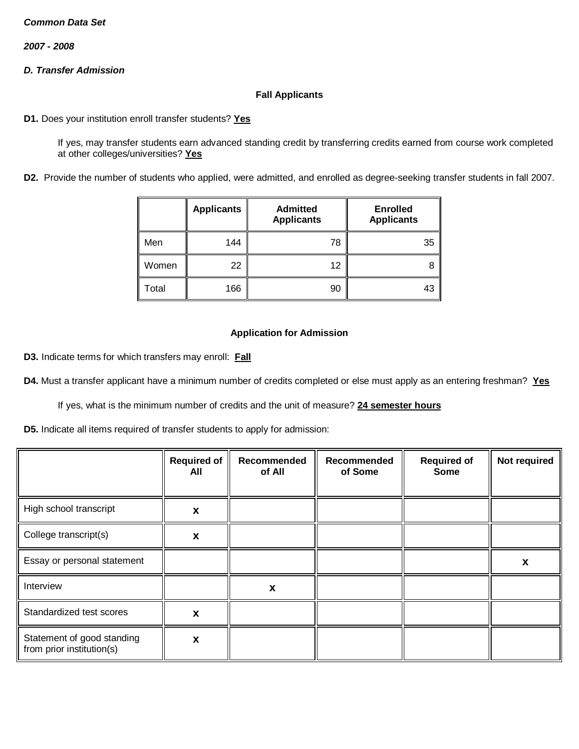*2007 - 2008*

# *D. Transfer Admission*

## **Fall Applicants**

**D1.** Does your institution enroll transfer students? **Yes**

If yes, may transfer students earn advanced standing credit by transferring credits earned from course work completed at other colleges/universities? **Yes**

**D2.** Provide the number of students who applied, were admitted, and enrolled as degree-seeking transfer students in fall 2007.

|       | <b>Applicants</b> | <b>Admitted</b><br><b>Applicants</b> | <b>Enrolled</b><br><b>Applicants</b> |
|-------|-------------------|--------------------------------------|--------------------------------------|
| Men   | 144               | 78                                   | 35                                   |
| Women | 22                | 12                                   | 8                                    |
| Total | 166               | 90                                   | 43                                   |

## **Application for Admission**

**D3.** Indicate terms for which transfers may enroll: **Fall**

**D4.** Must a transfer applicant have a minimum number of credits completed or else must apply as an entering freshman? **Yes**

If yes, what is the minimum number of credits and the unit of measure? **24 semester hours**

**D5.** Indicate all items required of transfer students to apply for admission:

|                                                         | <b>Required of</b><br>All | Recommended<br>of All | Recommended<br>of Some | <b>Required of</b><br><b>Some</b> | Not required |
|---------------------------------------------------------|---------------------------|-----------------------|------------------------|-----------------------------------|--------------|
| High school transcript                                  | X                         |                       |                        |                                   |              |
| College transcript(s)                                   | X                         |                       |                        |                                   |              |
| Essay or personal statement                             |                           |                       |                        |                                   | X            |
| Interview                                               |                           | X                     |                        |                                   |              |
| Standardized test scores                                | X                         |                       |                        |                                   |              |
| Statement of good standing<br>from prior institution(s) | X                         |                       |                        |                                   |              |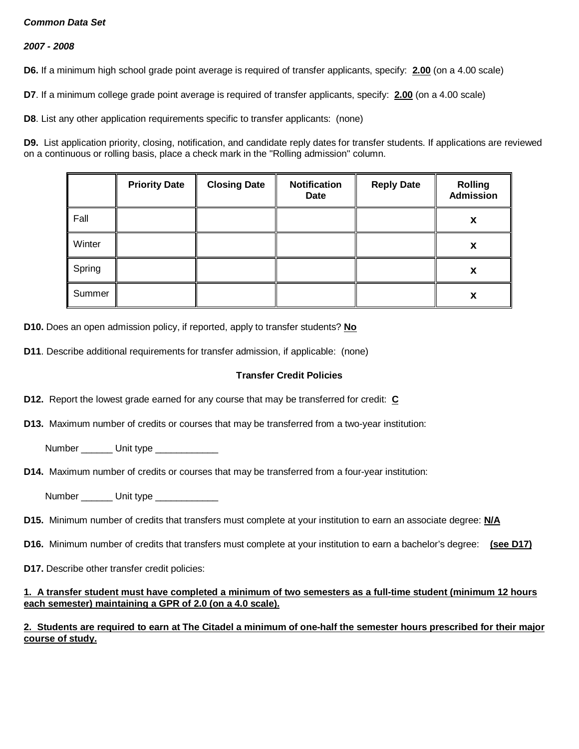# *2007 - 2008*

**D6.** If a minimum high school grade point average is required of transfer applicants, specify: **2.00** (on a 4.00 scale)

**D7**. If a minimum college grade point average is required of transfer applicants, specify: **2.00** (on a 4.00 scale)

**D8**. List any other application requirements specific to transfer applicants: (none)

**D9.** List application priority, closing, notification, and candidate reply dates for transfer students. If applications are reviewed on a continuous or rolling basis, place a check mark in the "Rolling admission" column.

|        | <b>Priority Date</b> | <b>Closing Date</b> | <b>Notification</b><br>Date | <b>Reply Date</b> | <b>Rolling</b><br><b>Admission</b> |
|--------|----------------------|---------------------|-----------------------------|-------------------|------------------------------------|
| Fall   |                      |                     |                             |                   | х                                  |
| Winter |                      |                     |                             |                   | х                                  |
| Spring |                      |                     |                             |                   | х                                  |
| Summer |                      |                     |                             |                   | х                                  |

**D10.** Does an open admission policy, if reported, apply to transfer students? **No**

**D11**. Describe additional requirements for transfer admission, if applicable: (none)

#### **Transfer Credit Policies**

**D12.** Report the lowest grade earned for any course that may be transferred for credit: **C**

**D13.** Maximum number of credits or courses that may be transferred from a two-year institution:

Number Unit type

**D14.** Maximum number of credits or courses that may be transferred from a four-year institution:

Number \_\_\_\_\_\_ Unit type \_\_\_\_\_\_\_\_\_\_

**D15.** Minimum number of credits that transfers must complete at your institution to earn an associate degree: **N/A**

**D16.** Minimum number of credits that transfers must complete at your institution to earn a bachelor's degree: **(see D17)**

**D17.** Describe other transfer credit policies:

## **1. A transfer student must have completed a minimum of two semesters as a full-time student (minimum 12 hours each semester) maintaining a GPR of 2.0 (on a 4.0 scale).**

# **2. Students are required to earn at The Citadel a minimum of one-half the semester hours prescribed for their major course of study.**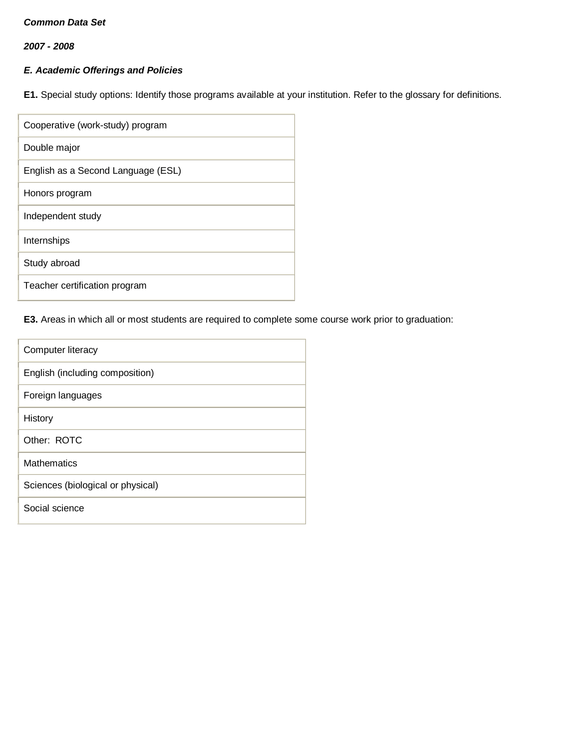*2007 - 2008*

# *E. Academic Offerings and Policies*

**E1.** Special study options: Identify those programs available at your institution. Refer to the glossary for definitions.

| Cooperative (work-study) program   |
|------------------------------------|
| Double major                       |
| English as a Second Language (ESL) |
| Honors program                     |
| Independent study                  |
| Internships                        |
| Study abroad                       |
| Teacher certification program      |

# **E3.** Areas in which all or most students are required to complete some course work prior to graduation:

| Computer literacy                 |
|-----------------------------------|
| English (including composition)   |
| Foreign languages                 |
| History                           |
| Other: ROTC                       |
| Mathematics                       |
| Sciences (biological or physical) |
| Social science                    |
|                                   |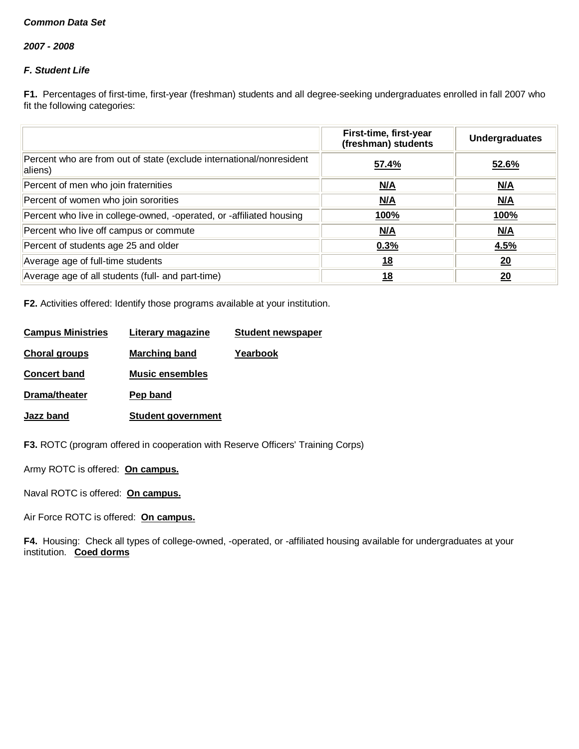*2007 - 2008*

# *F. Student Life*

**F1.** Percentages of first-time, first-year (freshman) students and all degree-seeking undergraduates enrolled in fall 2007 who fit the following categories:

|                                                                                 | First-time, first-year<br>(freshman) students | <b>Undergraduates</b> |
|---------------------------------------------------------------------------------|-----------------------------------------------|-----------------------|
| Percent who are from out of state (exclude international/nonresident<br>aliens) | 57.4%                                         | 52.6%                 |
| Percent of men who join fraternities                                            | N/A                                           | N/A                   |
| Percent of women who join sororities                                            | N/A                                           | <u>N/A</u>            |
| Percent who live in college-owned, -operated, or -affiliated housing            | 100%                                          | 100%                  |
| Percent who live off campus or commute                                          | <u>N/A</u>                                    | M/A                   |
| Percent of students age 25 and older                                            | 0.3%                                          | 4.5%                  |
| Average age of full-time students                                               | <u>18</u>                                     | 20                    |
| Average age of all students (full- and part-time)                               | 18                                            | 20                    |

**F2.** Activities offered: Identify those programs available at your institution.

| <b>Campus Ministries</b> | Literary magazine         | <b>Student newspaper</b> |
|--------------------------|---------------------------|--------------------------|
| <b>Choral groups</b>     | <b>Marching band</b>      | Yearbook                 |
| <b>Concert band</b>      | <b>Music ensembles</b>    |                          |
| Drama/theater            | Pep band                  |                          |
| Jazz band                | <b>Student government</b> |                          |
|                          |                           |                          |

**F3.** ROTC (program offered in cooperation with Reserve Officers' Training Corps)

Army ROTC is offered: **On campus.**

Naval ROTC is offered: **On campus.**

Air Force ROTC is offered: **On campus.**

**F4.** Housing: Check all types of college-owned, -operated, or -affiliated housing available for undergraduates at your institution. **Coed dorms**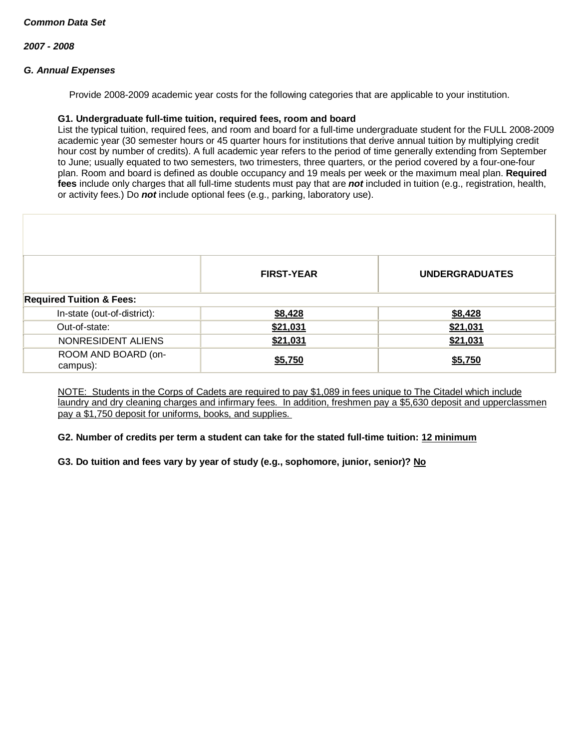# *G. Annual Expenses*

Provide 2008-2009 academic year costs for the following categories that are applicable to your institution.

#### **G1. Undergraduate full-time tuition, required fees, room and board**

List the typical tuition, required fees, and room and board for a full-time undergraduate student for the FULL 2008-2009 academic year (30 semester hours or 45 quarter hours for institutions that derive annual tuition by multiplying credit hour cost by number of credits). A full academic year refers to the period of time generally extending from September to June; usually equated to two semesters, two trimesters, three quarters, or the period covered by a four-one-four plan. Room and board is defined as double occupancy and 19 meals per week or the maximum meal plan. **Required fees** include only charges that all full-time students must pay that are *not* included in tuition (e.g., registration, health, or activity fees.) Do *not* include optional fees (e.g., parking, laboratory use).

|                                     | <b>FIRST-YEAR</b> | <b>UNDERGRADUATES</b> |
|-------------------------------------|-------------------|-----------------------|
|                                     |                   |                       |
| <b>Required Tuition &amp; Fees:</b> |                   |                       |
| In-state (out-of-district):         | \$8,428           | \$8,428               |
| Out-of-state:                       | \$21,031          | \$21,031              |
| NONRESIDENT ALIENS                  | \$21,031          | \$21,031              |
| ROOM AND BOARD (on-                 | \$5,750           | \$5,750               |
| campus):                            |                   |                       |

NOTE: Students in the Corps of Cadets are required to pay \$1,089 in fees unique to The Citadel which include laundry and dry cleaning charges and infirmary fees. In addition, freshmen pay a \$5,630 deposit and upperclassmen pay a \$1,750 deposit for uniforms, books, and supplies.

# **G2. Number of credits per term a student can take for the stated full-time tuition: 12 minimum**

**G3. Do tuition and fees vary by year of study (e.g., sophomore, junior, senior)? No**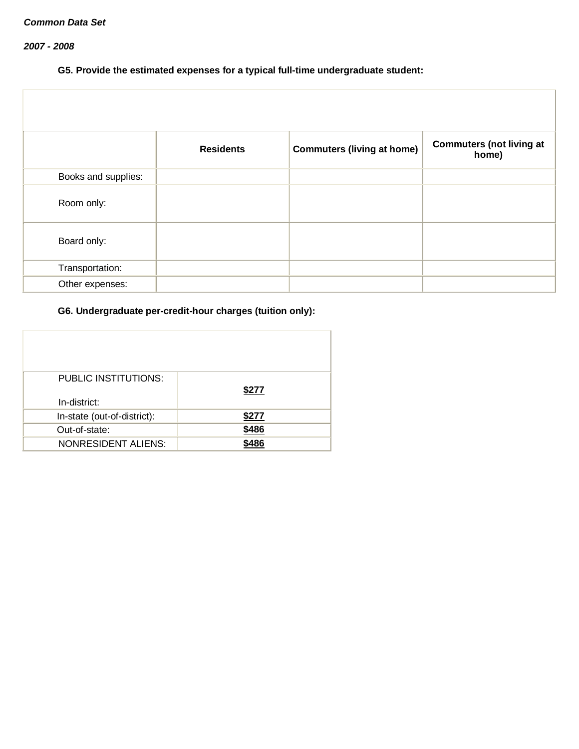# *2007 - 2008*

# **G5. Provide the estimated expenses for a typical full-time undergraduate student:**

|                     | <b>Residents</b> | <b>Commuters (living at home)</b> | <b>Commuters (not living at</b><br>home) |
|---------------------|------------------|-----------------------------------|------------------------------------------|
| Books and supplies: |                  |                                   |                                          |
| Room only:          |                  |                                   |                                          |
| Board only:         |                  |                                   |                                          |
| Transportation:     |                  |                                   |                                          |
| Other expenses:     |                  |                                   |                                          |

# **G6. Undergraduate per-credit-hour charges (tuition only):**

| PUBLIC INSTITUTIONS:<br>In-district: | \$277 |
|--------------------------------------|-------|
| In-state (out-of-district):          | \$277 |
| Out-of-state:                        | \$486 |
| <b>NONRESIDENT ALIENS:</b>           | \$486 |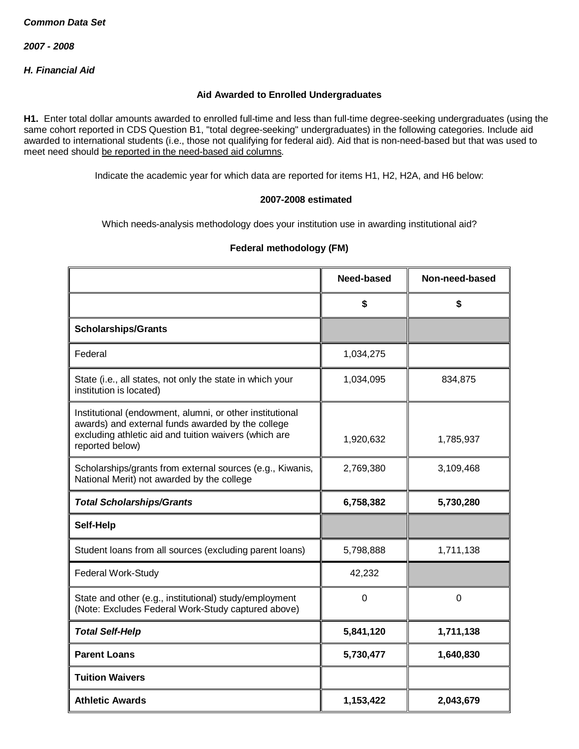*2007 - 2008*

*H. Financial Aid*

## **Aid Awarded to Enrolled Undergraduates**

**H1.** Enter total dollar amounts awarded to enrolled full-time and less than full-time degree-seeking undergraduates (using the same cohort reported in CDS Question B1, "total degree-seeking" undergraduates) in the following categories. Include aid awarded to international students (i.e., those not qualifying for federal aid). Aid that is non-need-based but that was used to meet need should be reported in the need-based aid columns.

Indicate the academic year for which data are reported for items H1, H2, H2A, and H6 below:

## **2007-2008 estimated**

Which needs-analysis methodology does your institution use in awarding institutional aid?

# **Federal methodology (FM)**

|                                                                                                                                                                                           | Need-based | Non-need-based |
|-------------------------------------------------------------------------------------------------------------------------------------------------------------------------------------------|------------|----------------|
|                                                                                                                                                                                           | \$         | \$             |
| <b>Scholarships/Grants</b>                                                                                                                                                                |            |                |
| Federal                                                                                                                                                                                   | 1,034,275  |                |
| State (i.e., all states, not only the state in which your<br>institution is located)                                                                                                      | 1,034,095  | 834,875        |
| Institutional (endowment, alumni, or other institutional<br>awards) and external funds awarded by the college<br>excluding athletic aid and tuition waivers (which are<br>reported below) | 1,920,632  | 1,785,937      |
| Scholarships/grants from external sources (e.g., Kiwanis,<br>National Merit) not awarded by the college                                                                                   | 2,769,380  | 3,109,468      |
| <b>Total Scholarships/Grants</b>                                                                                                                                                          | 6,758,382  | 5,730,280      |
| Self-Help                                                                                                                                                                                 |            |                |
| Student loans from all sources (excluding parent loans)                                                                                                                                   | 5,798,888  | 1,711,138      |
| Federal Work-Study                                                                                                                                                                        | 42,232     |                |
| State and other (e.g., institutional) study/employment<br>(Note: Excludes Federal Work-Study captured above)                                                                              | 0          | 0              |
| <b>Total Self-Help</b>                                                                                                                                                                    | 5,841,120  | 1,711,138      |
| <b>Parent Loans</b>                                                                                                                                                                       | 5,730,477  | 1,640,830      |
| <b>Tuition Waivers</b>                                                                                                                                                                    |            |                |
| <b>Athletic Awards</b>                                                                                                                                                                    | 1,153,422  | 2,043,679      |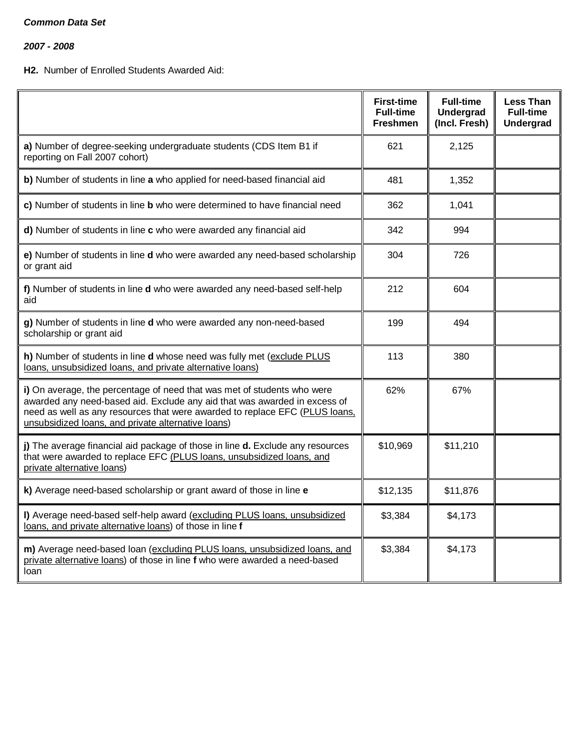*2007 - 2008*

# **H2.** Number of Enrolled Students Awarded Aid:

|                                                                                                                                                                                                                                                                                           | <b>First-time</b><br><b>Full-time</b><br><b>Freshmen</b> | <b>Full-time</b><br><b>Undergrad</b><br>(Incl. Fresh) | <b>Less Than</b><br><b>Full-time</b><br><b>Undergrad</b> |
|-------------------------------------------------------------------------------------------------------------------------------------------------------------------------------------------------------------------------------------------------------------------------------------------|----------------------------------------------------------|-------------------------------------------------------|----------------------------------------------------------|
| a) Number of degree-seeking undergraduate students (CDS Item B1 if<br>reporting on Fall 2007 cohort)                                                                                                                                                                                      | 621                                                      | 2,125                                                 |                                                          |
| b) Number of students in line a who applied for need-based financial aid                                                                                                                                                                                                                  | 481                                                      | 1,352                                                 |                                                          |
| c) Number of students in line b who were determined to have financial need                                                                                                                                                                                                                | 362                                                      | 1,041                                                 |                                                          |
| d) Number of students in line c who were awarded any financial aid                                                                                                                                                                                                                        | 342                                                      | 994                                                   |                                                          |
| e) Number of students in line d who were awarded any need-based scholarship<br>or grant aid                                                                                                                                                                                               | 304                                                      | 726                                                   |                                                          |
| f) Number of students in line d who were awarded any need-based self-help<br>aid                                                                                                                                                                                                          | 212                                                      | 604                                                   |                                                          |
| g) Number of students in line d who were awarded any non-need-based<br>scholarship or grant aid                                                                                                                                                                                           | 199                                                      | 494                                                   |                                                          |
| h) Number of students in line d whose need was fully met (exclude PLUS<br>loans, unsubsidized loans, and private alternative loans)                                                                                                                                                       | 113                                                      | 380                                                   |                                                          |
| i) On average, the percentage of need that was met of students who were<br>awarded any need-based aid. Exclude any aid that was awarded in excess of<br>need as well as any resources that were awarded to replace EFC (PLUS loans,<br>unsubsidized loans, and private alternative loans) | 62%                                                      | 67%                                                   |                                                          |
| j) The average financial aid package of those in line d. Exclude any resources<br>that were awarded to replace EFC (PLUS loans, unsubsidized loans, and<br>private alternative loans)                                                                                                     | \$10,969                                                 | \$11,210                                              |                                                          |
| k) Average need-based scholarship or grant award of those in line e                                                                                                                                                                                                                       | \$12,135                                                 | \$11,876                                              |                                                          |
| I) Average need-based self-help award (excluding PLUS loans, unsubsidized<br>loans, and private alternative loans) of those in line f                                                                                                                                                     | \$3,384                                                  | \$4,173                                               |                                                          |
| m) Average need-based loan (excluding PLUS loans, unsubsidized loans, and<br>private alternative loans) of those in line f who were awarded a need-based<br>loan                                                                                                                          | \$3,384                                                  | \$4,173                                               |                                                          |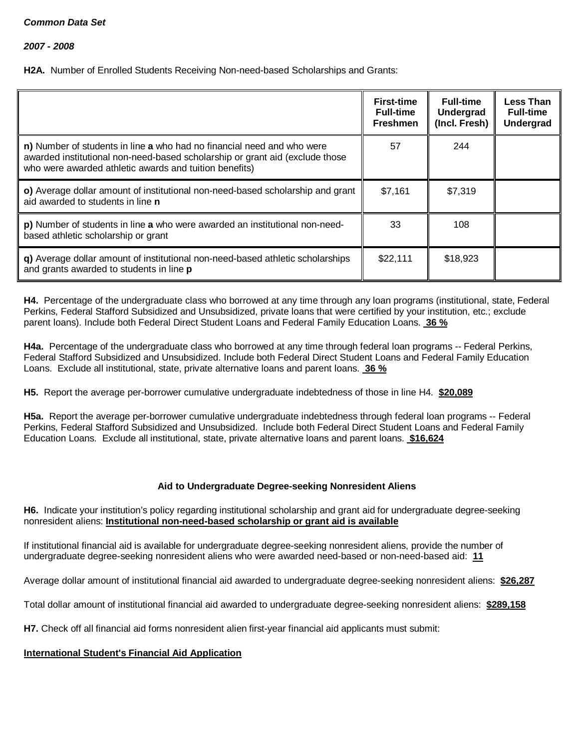**H2A.** Number of Enrolled Students Receiving Non-need-based Scholarships and Grants:

|                                                                                                                                                                                                                  | <b>First-time</b><br><b>Full-time</b><br><b>Freshmen</b> | <b>Full-time</b><br>Undergrad<br>(Incl. Fresh) | <b>Less Than</b><br><b>Full-time</b><br><b>Undergrad</b> |
|------------------------------------------------------------------------------------------------------------------------------------------------------------------------------------------------------------------|----------------------------------------------------------|------------------------------------------------|----------------------------------------------------------|
| n) Number of students in line a who had no financial need and who were<br>awarded institutional non-need-based scholarship or grant aid (exclude those<br>who were awarded athletic awards and tuition benefits) | 57                                                       | 244                                            |                                                          |
| o) Average dollar amount of institutional non-need-based scholarship and grant<br>aid awarded to students in line <b>n</b>                                                                                       | \$7,161                                                  | \$7,319                                        |                                                          |
| p) Number of students in line a who were awarded an institutional non-need-<br>based athletic scholarship or grant                                                                                               | 33                                                       | 108                                            |                                                          |
| q) Average dollar amount of institutional non-need-based athletic scholarships<br>and grants awarded to students in line p                                                                                       | \$22,111                                                 | \$18,923                                       |                                                          |

**H4.** Percentage of the undergraduate class who borrowed at any time through any loan programs (institutional, state, Federal Perkins, Federal Stafford Subsidized and Unsubsidized, private loans that were certified by your institution, etc.; exclude parent loans). Include both Federal Direct Student Loans and Federal Family Education Loans. **36 %**

**H4a.** Percentage of the undergraduate class who borrowed at any time through federal loan programs -- Federal Perkins, Federal Stafford Subsidized and Unsubsidized. Include both Federal Direct Student Loans and Federal Family Education Loans. Exclude all institutional, state, private alternative loans and parent loans. **36 %**

**H5.** Report the average per-borrower cumulative undergraduate indebtedness of those in line H4. **\$20,089**

**H5a.** Report the average per-borrower cumulative undergraduate indebtedness through federal loan programs -- Federal Perkins, Federal Stafford Subsidized and Unsubsidized. Include both Federal Direct Student Loans and Federal Family Education Loans. Exclude all institutional, state, private alternative loans and parent loans. **\$16,624**

# **Aid to Undergraduate Degree-seeking Nonresident Aliens**

**H6.** Indicate your institution's policy regarding institutional scholarship and grant aid for undergraduate degree-seeking nonresident aliens: **Institutional non-need-based scholarship or grant aid is available**

If institutional financial aid is available for undergraduate degree-seeking nonresident aliens, provide the number of undergraduate degree-seeking nonresident aliens who were awarded need-based or non-need-based aid: **11**

Average dollar amount of institutional financial aid awarded to undergraduate degree-seeking nonresident aliens: **\$26,287**

Total dollar amount of institutional financial aid awarded to undergraduate degree-seeking nonresident aliens: **\$289,158**

**H7.** Check off all financial aid forms nonresident alien first-year financial aid applicants must submit:

# **International Student's Financial Aid Application**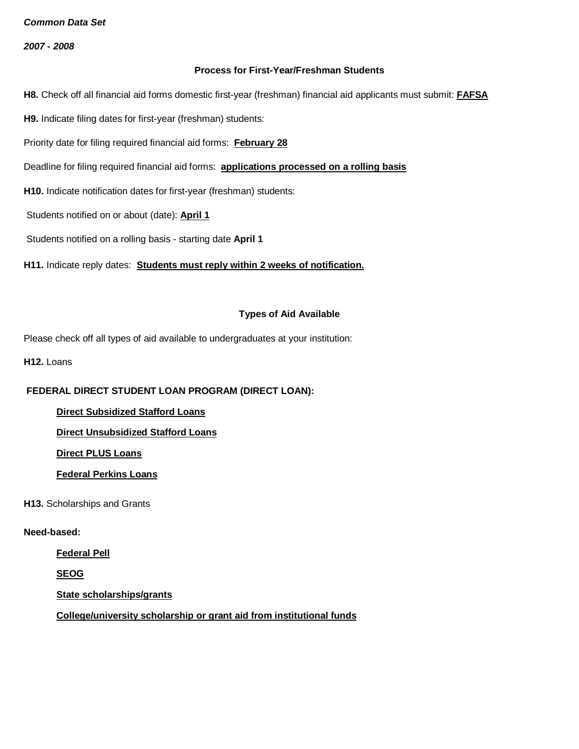*2007 - 2008*

## **Process for First-Year/Freshman Students**

**H8.** Check off all financial aid forms domestic first-year (freshman) financial aid applicants must submit: **FAFSA**

**H9.** Indicate filing dates for first-year (freshman) students:

Priority date for filing required financial aid forms: **February 28**

Deadline for filing required financial aid forms: **applications processed on a rolling basis**

**H10.** Indicate notification dates for first-year (freshman) students:

Students notified on or about (date): **April 1**

Students notified on a rolling basis - starting date **April 1**

**H11.** Indicate reply dates: **Students must reply within 2 weeks of notification.**

#### **Types of Aid Available**

Please check off all types of aid available to undergraduates at your institution:

**H12.** Loans

# **FEDERAL DIRECT STUDENT LOAN PROGRAM (DIRECT LOAN):**

**Direct Subsidized Stafford Loans**

**Direct Unsubsidized Stafford Loans**

**Direct PLUS Loans**

**Federal Perkins Loans**

**H13.** Scholarships and Grants

#### **Need-based:**

**Federal Pell**

**SEOG**

**State scholarships/grants**

**College/university scholarship or grant aid from institutional funds**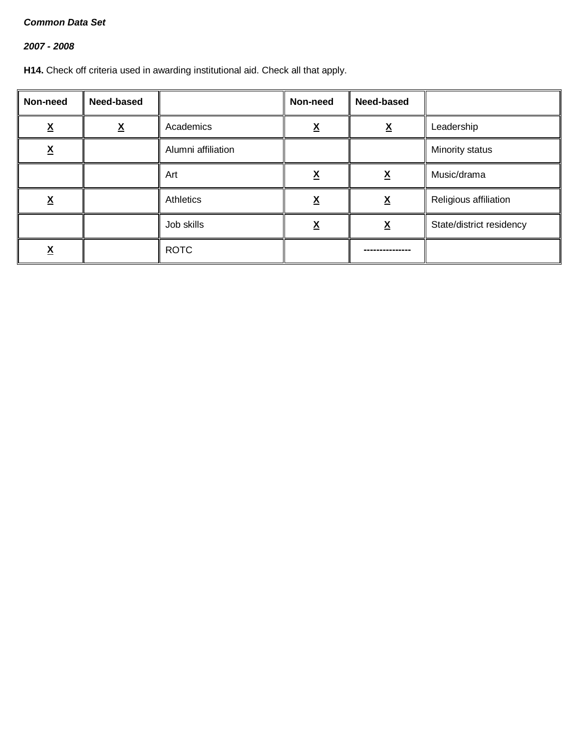# *2007 - 2008*

**H14.** Check off criteria used in awarding institutional aid. Check all that apply.

| Non-need      | Need-based |                    | Non-need | Need-based |                          |
|---------------|------------|--------------------|----------|------------|--------------------------|
| <u>х</u>      | <u>х</u>   | Academics          | v        | χ          | Leadership               |
| v<br><u>л</u> |            | Alumni affiliation |          |            | Minority status          |
|               |            | Art                | Λ        | <u>x</u>   | Music/drama              |
| <u>х</u>      |            | Athletics          | <u>x</u> | <u>x</u>   | Religious affiliation    |
|               |            | Job skills         |          | <u>x</u>   | State/district residency |
|               |            | <b>ROTC</b>        |          |            |                          |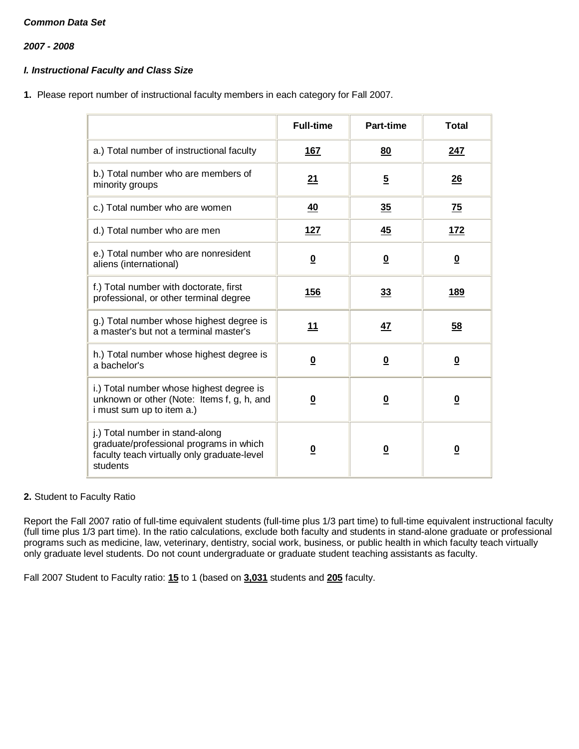*2007 - 2008*

# *I. Instructional Faculty and Class Size*

**1.** Please report number of instructional faculty members in each category for Fall 2007.

|                                                                                                                                       | <b>Full-time</b>        | Part-time               | <b>Total</b>            |
|---------------------------------------------------------------------------------------------------------------------------------------|-------------------------|-------------------------|-------------------------|
| a.) Total number of instructional faculty                                                                                             | <u>167</u>              | 80                      | <u>247</u>              |
| b.) Total number who are members of<br>minority groups                                                                                | 21                      | $5\phantom{.0}$         | 26                      |
| c.) Total number who are women                                                                                                        | 40                      | 35                      | <u>75</u>               |
| d.) Total number who are men                                                                                                          | <b>127</b>              | 45                      | <u>172</u>              |
| e.) Total number who are nonresident<br>aliens (international)                                                                        | $\overline{\mathbf{0}}$ | $\overline{\mathbf{0}}$ | $\overline{\mathbf{0}}$ |
| f.) Total number with doctorate, first<br>professional, or other terminal degree                                                      | 156                     | 33                      | 189                     |
| g.) Total number whose highest degree is<br>a master's but not a terminal master's                                                    | 11                      | 47                      | 58                      |
| h.) Total number whose highest degree is<br>a bachelor's                                                                              | $\bf{0}$                | $\overline{\mathbf{0}}$ | $\overline{\mathbf{0}}$ |
| i.) Total number whose highest degree is<br>unknown or other (Note: Items f, g, h, and<br>i must sum up to item a.)                   | $\overline{\mathbf{0}}$ | $\overline{\mathbf{0}}$ | $\overline{\mathbf{0}}$ |
| j.) Total number in stand-along<br>graduate/professional programs in which<br>faculty teach virtually only graduate-level<br>students | $\overline{\mathbf{0}}$ | <u>0</u>                | $\overline{\mathbf{0}}$ |

# **2.** Student to Faculty Ratio

Report the Fall 2007 ratio of full-time equivalent students (full-time plus 1/3 part time) to full-time equivalent instructional faculty (full time plus 1/3 part time). In the ratio calculations, exclude both faculty and students in stand-alone graduate or professional programs such as medicine, law, veterinary, dentistry, social work, business, or public health in which faculty teach virtually only graduate level students. Do not count undergraduate or graduate student teaching assistants as faculty.

Fall 2007 Student to Faculty ratio: **15** to 1 (based on **3,031** students and **205** faculty.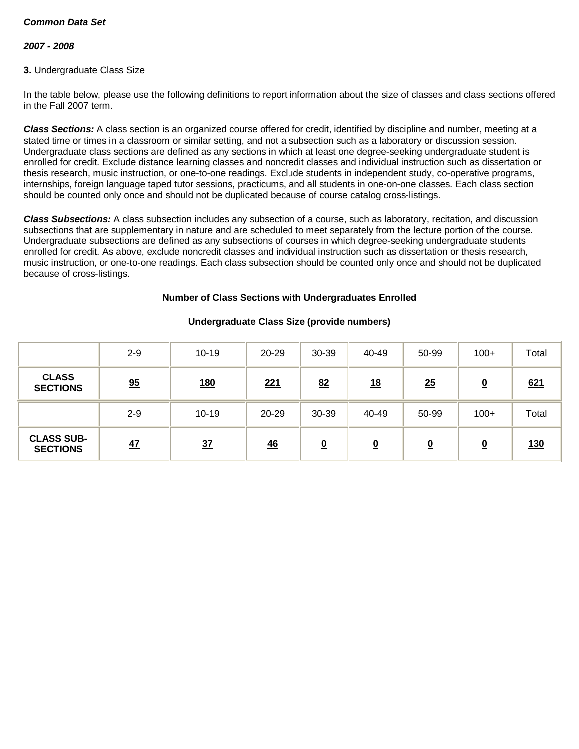# *2007 - 2008*

## **3.** Undergraduate Class Size

In the table below, please use the following definitions to report information about the size of classes and class sections offered in the Fall 2007 term.

*Class Sections:* A class section is an organized course offered for credit, identified by discipline and number, meeting at a stated time or times in a classroom or similar setting, and not a subsection such as a laboratory or discussion session. Undergraduate class sections are defined as any sections in which at least one degree-seeking undergraduate student is enrolled for credit. Exclude distance learning classes and noncredit classes and individual instruction such as dissertation or thesis research, music instruction, or one-to-one readings. Exclude students in independent study, co-operative programs, internships, foreign language taped tutor sessions, practicums, and all students in one-on-one classes. Each class section should be counted only once and should not be duplicated because of course catalog cross-listings.

*Class Subsections:* A class subsection includes any subsection of a course, such as laboratory, recitation, and discussion subsections that are supplementary in nature and are scheduled to meet separately from the lecture portion of the course. Undergraduate subsections are defined as any subsections of courses in which degree-seeking undergraduate students enrolled for credit. As above, exclude noncredit classes and individual instruction such as dissertation or thesis research, music instruction, or one-to-one readings. Each class subsection should be counted only once and should not be duplicated because of cross-listings.

## **Number of Class Sections with Undergraduates Enrolled**

|                                      | $2 - 9$ | $10 - 19$  | $20 - 29$  | 30-39                    | 40-49     | 50-99    | $100+$                  | Total      |
|--------------------------------------|---------|------------|------------|--------------------------|-----------|----------|-------------------------|------------|
| <b>CLASS</b><br><b>SECTIONS</b>      | 95      | <u>180</u> | <u>221</u> | 82                       | <u>18</u> | 25       | $\overline{\mathbf{0}}$ | 621        |
|                                      | $2 - 9$ | $10 - 19$  | 20-29      | 30-39                    | 40-49     | 50-99    | $100+$                  | Total      |
| <b>CLASS SUB-</b><br><b>SECTIONS</b> | 47      | 37         | 46         | $\underline{\mathbf{0}}$ | <u>0</u>  | <u>0</u> | <u>0</u>                | <u>130</u> |

# **Undergraduate Class Size (provide numbers)**